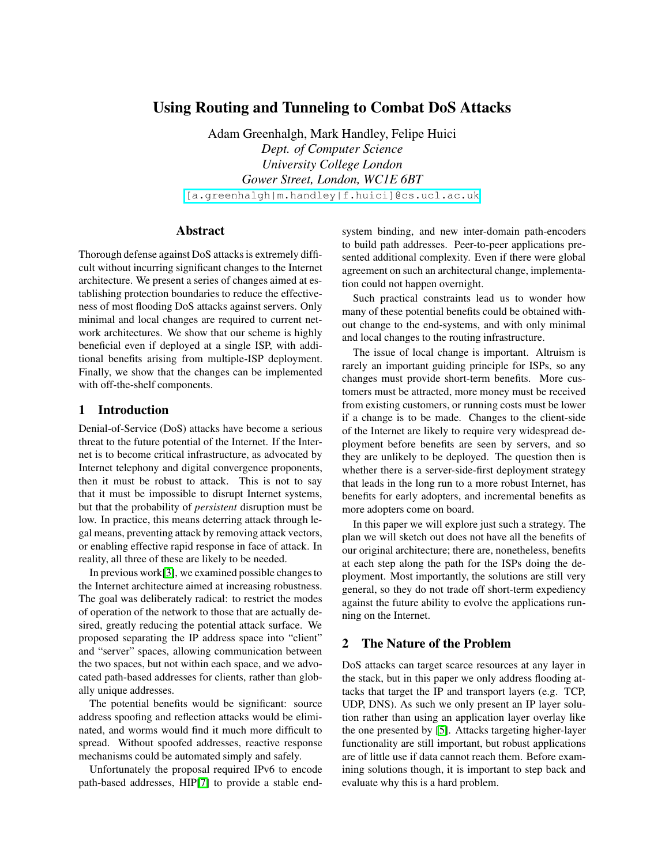# **Using Routing and Tunneling to Combat DoS Attacks**

Adam Greenhalgh, Mark Handley, Felipe Huici *Dept. of Computer Science University College London Gower Street, London, WC1E 6BT*

[\[a.greenhalgh|m.handley|f.huici\]@cs.ucl.ac.uk]([a.greenhalgh|m.handley|f.huici]@cs.ucl.ac.uk)

### **Abstract**

Thorough defense against DoS attacks is extremely difficult without incurring significant changes to the Internet architecture. We present a series of changes aimed at establishing protection boundaries to reduce the effectiveness of most flooding DoS attacks against servers. Only minimal and local changes are required to current network architectures. We show that our scheme is highly beneficial even if deployed at a single ISP, with additional benefits arising from multiple-ISP deployment. Finally, we show that the changes can be implemented with off-the-shelf components.

### **1 Introduction**

Denial-of-Service (DoS) attacks have become a serious threat to the future potential of the Internet. If the Internet is to become critical infrastructure, as advocated by Internet telephony and digital convergence proponents, then it must be robust to attack. This is not to say that it must be impossible to disrupt Internet systems, but that the probability of *persistent* disruption must be low. In practice, this means deterring attack through legal means, preventing attack by removing attack vectors, or enabling effective rapid response in face of attack. In reality, all three of these are likely to be needed.

In previous work $[3]$ , we examined possible changes to the Internet architecture aimed at increasing robustness. The goal was deliberately radical: to restrict the modes of operation of the network to those that are actually desired, greatly reducing the potential attack surface. We proposed separating the IP address space into "client" and "server" spaces, allowing communication between the two spaces, but not within each space, and we advocated path-based addresses for clients, rather than globally unique addresses.

The potential benefits would be significant: source address spoofing and reflection attacks would be eliminated, and worms would find it much more difficult to spread. Without spoofed addresses, reactive response mechanisms could be automated simply and safely.

Unfortunately the proposal required IPv6 to encode path-based addresses, HIP[\[7\]](#page-6-1) to provide a stable endsystem binding, and new inter-domain path-encoders to build path addresses. Peer-to-peer applications presented additional complexity. Even if there were global agreement on such an architectural change, implementation could not happen overnight.

Such practical constraints lead us to wonder how many of these potential benefits could be obtained without change to the end-systems, and with only minimal and local changes to the routing infrastructure.

The issue of local change is important. Altruism is rarely an important guiding principle for ISPs, so any changes must provide short-term benefits. More customers must be attracted, more money must be received from existing customers, or running costs must be lower if a change is to be made. Changes to the client-side of the Internet are likely to require very widespread deployment before benefits are seen by servers, and so they are unlikely to be deployed. The question then is whether there is a server-side-first deployment strategy that leads in the long run to a more robust Internet, has benefits for early adopters, and incremental benefits as more adopters come on board.

In this paper we will explore just such a strategy. The plan we will sketch out does not have all the benefits of our original architecture; there are, nonetheless, benefits at each step along the path for the ISPs doing the deployment. Most importantly, the solutions are still very general, so they do not trade off short-term expediency against the future ability to evolve the applications running on the Internet.

#### **2 The Nature of the Problem**

DoS attacks can target scarce resources at any layer in the stack, but in this paper we only address flooding attacks that target the IP and transport layers (e.g. TCP, UDP, DNS). As such we only present an IP layer solution rather than using an application layer overlay like the one presented by [\[5\]](#page-6-2). Attacks targeting higher-layer functionality are still important, but robust applications are of little use if data cannot reach them. Before examining solutions though, it is important to step back and evaluate why this is a hard problem.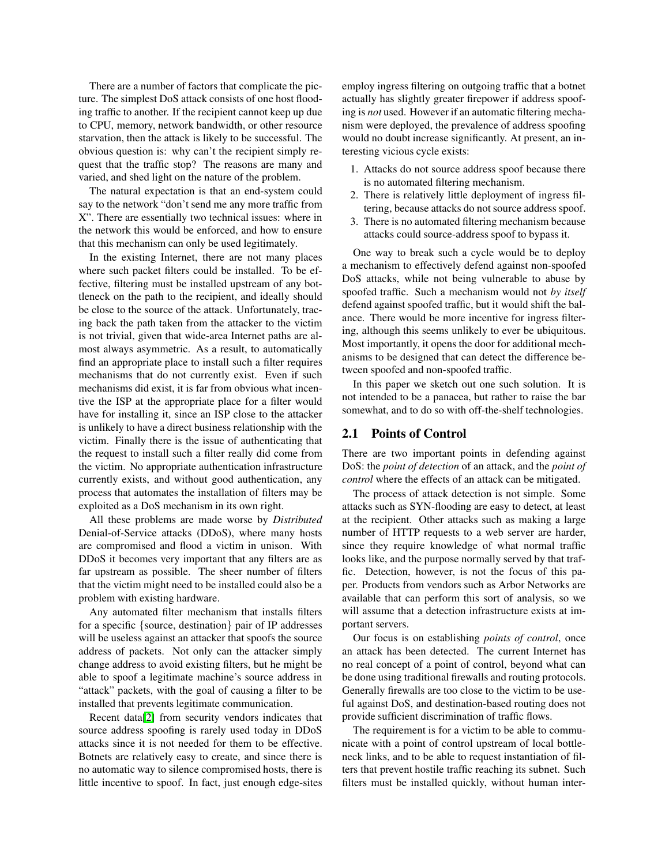There are a number of factors that complicate the picture. The simplest DoS attack consists of one host flooding traffic to another. If the recipient cannot keep up due to CPU, memory, network bandwidth, or other resource starvation, then the attack is likely to be successful. The obvious question is: why can't the recipient simply request that the traffic stop? The reasons are many and varied, and shed light on the nature of the problem.

The natural expectation is that an end-system could say to the network "don't send me any more traffic from X". There are essentially two technical issues: where in the network this would be enforced, and how to ensure that this mechanism can only be used legitimately.

In the existing Internet, there are not many places where such packet filters could be installed. To be effective, filtering must be installed upstream of any bottleneck on the path to the recipient, and ideally should be close to the source of the attack. Unfortunately, tracing back the path taken from the attacker to the victim is not trivial, given that wide-area Internet paths are almost always asymmetric. As a result, to automatically find an appropriate place to install such a filter requires mechanisms that do not currently exist. Even if such mechanisms did exist, it is far from obvious what incentive the ISP at the appropriate place for a filter would have for installing it, since an ISP close to the attacker is unlikely to have a direct business relationship with the victim. Finally there is the issue of authenticating that the request to install such a filter really did come from the victim. No appropriate authentication infrastructure currently exists, and without good authentication, any process that automates the installation of filters may be exploited as a DoS mechanism in its own right.

All these problems are made worse by *Distributed* Denial-of-Service attacks (DDoS), where many hosts are compromised and flood a victim in unison. With DDoS it becomes very important that any filters are as far upstream as possible. The sheer number of filters that the victim might need to be installed could also be a problem with existing hardware.

Any automated filter mechanism that installs filters for a specific {source, destination} pair of IP addresses will be useless against an attacker that spoofs the source address of packets. Not only can the attacker simply change address to avoid existing filters, but he might be able to spoof a legitimate machine's source address in "attack" packets, with the goal of causing a filter to be installed that prevents legitimate communication.

Recent data[\[2\]](#page-6-3) from security vendors indicates that source address spoofing is rarely used today in DDoS attacks since it is not needed for them to be effective. Botnets are relatively easy to create, and since there is no automatic way to silence compromised hosts, there is little incentive to spoof. In fact, just enough edge-sites employ ingress filtering on outgoing traffic that a botnet actually has slightly greater firepower if address spoofing is *not* used. However if an automatic filtering mechanism were deployed, the prevalence of address spoofing would no doubt increase significantly. At present, an interesting vicious cycle exists:

- 1. Attacks do not source address spoof because there is no automated filtering mechanism.
- 2. There is relatively little deployment of ingress filtering, because attacks do not source address spoof.
- 3. There is no automated filtering mechanism because attacks could source-address spoof to bypass it.

One way to break such a cycle would be to deploy a mechanism to effectively defend against non-spoofed DoS attacks, while not being vulnerable to abuse by spoofed traffic. Such a mechanism would not *by itself* defend against spoofed traffic, but it would shift the balance. There would be more incentive for ingress filtering, although this seems unlikely to ever be ubiquitous. Most importantly, it opens the door for additional mechanisms to be designed that can detect the difference between spoofed and non-spoofed traffic.

In this paper we sketch out one such solution. It is not intended to be a panacea, but rather to raise the bar somewhat, and to do so with off-the-shelf technologies.

#### **2.1 Points of Control**

There are two important points in defending against DoS: the *point of detection* of an attack, and the *point of control* where the effects of an attack can be mitigated.

The process of attack detection is not simple. Some attacks such as SYN-flooding are easy to detect, at least at the recipient. Other attacks such as making a large number of HTTP requests to a web server are harder, since they require knowledge of what normal traffic looks like, and the purpose normally served by that traffic. Detection, however, is not the focus of this paper. Products from vendors such as Arbor Networks are available that can perform this sort of analysis, so we will assume that a detection infrastructure exists at important servers.

Our focus is on establishing *points of control*, once an attack has been detected. The current Internet has no real concept of a point of control, beyond what can be done using traditional firewalls and routing protocols. Generally firewalls are too close to the victim to be useful against DoS, and destination-based routing does not provide sufficient discrimination of traffic flows.

The requirement is for a victim to be able to communicate with a point of control upstream of local bottleneck links, and to be able to request instantiation of filters that prevent hostile traffic reaching its subnet. Such filters must be installed quickly, without human inter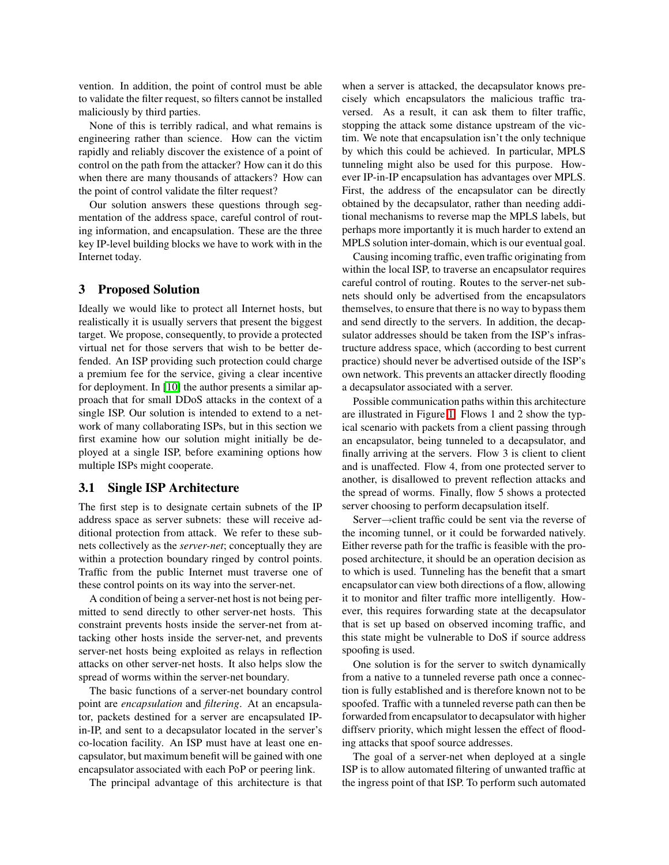vention. In addition, the point of control must be able to validate the filter request, so filters cannot be installed maliciously by third parties.

None of this is terribly radical, and what remains is engineering rather than science. How can the victim rapidly and reliably discover the existence of a point of control on the path from the attacker? How can it do this when there are many thousands of attackers? How can the point of control validate the filter request?

Our solution answers these questions through segmentation of the address space, careful control of routing information, and encapsulation. These are the three key IP-level building blocks we have to work with in the Internet today.

#### **3 Proposed Solution**

Ideally we would like to protect all Internet hosts, but realistically it is usually servers that present the biggest target. We propose, consequently, to provide a protected virtual net for those servers that wish to be better defended. An ISP providing such protection could charge a premium fee for the service, giving a clear incentive for deployment. In [\[10\]](#page-6-4) the author presents a similar approach that for small DDoS attacks in the context of a single ISP. Our solution is intended to extend to a network of many collaborating ISPs, but in this section we first examine how our solution might initially be deployed at a single ISP, before examining options how multiple ISPs might cooperate.

#### **3.1 Single ISP Architecture**

The first step is to designate certain subnets of the IP address space as server subnets: these will receive additional protection from attack. We refer to these subnets collectively as the *server-net*; conceptually they are within a protection boundary ringed by control points. Traffic from the public Internet must traverse one of these control points on its way into the server-net.

A condition of being a server-net host is not being permitted to send directly to other server-net hosts. This constraint prevents hosts inside the server-net from attacking other hosts inside the server-net, and prevents server-net hosts being exploited as relays in reflection attacks on other server-net hosts. It also helps slow the spread of worms within the server-net boundary.

The basic functions of a server-net boundary control point are *encapsulation* and *filtering*. At an encapsulator, packets destined for a server are encapsulated IPin-IP, and sent to a decapsulator located in the server's co-location facility. An ISP must have at least one encapsulator, but maximum benefit will be gained with one encapsulator associated with each PoP or peering link.

The principal advantage of this architecture is that

when a server is attacked, the decapsulator knows precisely which encapsulators the malicious traffic traversed. As a result, it can ask them to filter traffic, stopping the attack some distance upstream of the victim. We note that encapsulation isn't the only technique by which this could be achieved. In particular, MPLS tunneling might also be used for this purpose. However IP-in-IP encapsulation has advantages over MPLS. First, the address of the encapsulator can be directly obtained by the decapsulator, rather than needing additional mechanisms to reverse map the MPLS labels, but perhaps more importantly it is much harder to extend an MPLS solution inter-domain, which is our eventual goal.

Causing incoming traffic, even traffic originating from within the local ISP, to traverse an encapsulator requires careful control of routing. Routes to the server-net subnets should only be advertised from the encapsulators themselves, to ensure that there is no way to bypass them and send directly to the servers. In addition, the decapsulator addresses should be taken from the ISP's infrastructure address space, which (according to best current practice) should never be advertised outside of the ISP's own network. This prevents an attacker directly flooding a decapsulator associated with a server.

Possible communication paths within this architecture are illustrated in Figure [1.](#page-3-0) Flows 1 and 2 show the typical scenario with packets from a client passing through an encapsulator, being tunneled to a decapsulator, and finally arriving at the servers. Flow 3 is client to client and is unaffected. Flow 4, from one protected server to another, is disallowed to prevent reflection attacks and the spread of worms. Finally, flow 5 shows a protected server choosing to perform decapsulation itself.

Server→client traffic could be sent via the reverse of the incoming tunnel, or it could be forwarded natively. Either reverse path for the traffic is feasible with the proposed architecture, it should be an operation decision as to which is used. Tunneling has the benefit that a smart encapsulator can view both directions of a flow, allowing it to monitor and filter traffic more intelligently. However, this requires forwarding state at the decapsulator that is set up based on observed incoming traffic, and this state might be vulnerable to DoS if source address spoofing is used.

One solution is for the server to switch dynamically from a native to a tunneled reverse path once a connection is fully established and is therefore known not to be spoofed. Traffic with a tunneled reverse path can then be forwarded from encapsulator to decapsulator with higher diffserv priority, which might lessen the effect of flooding attacks that spoof source addresses.

The goal of a server-net when deployed at a single ISP is to allow automated filtering of unwanted traffic at the ingress point of that ISP. To perform such automated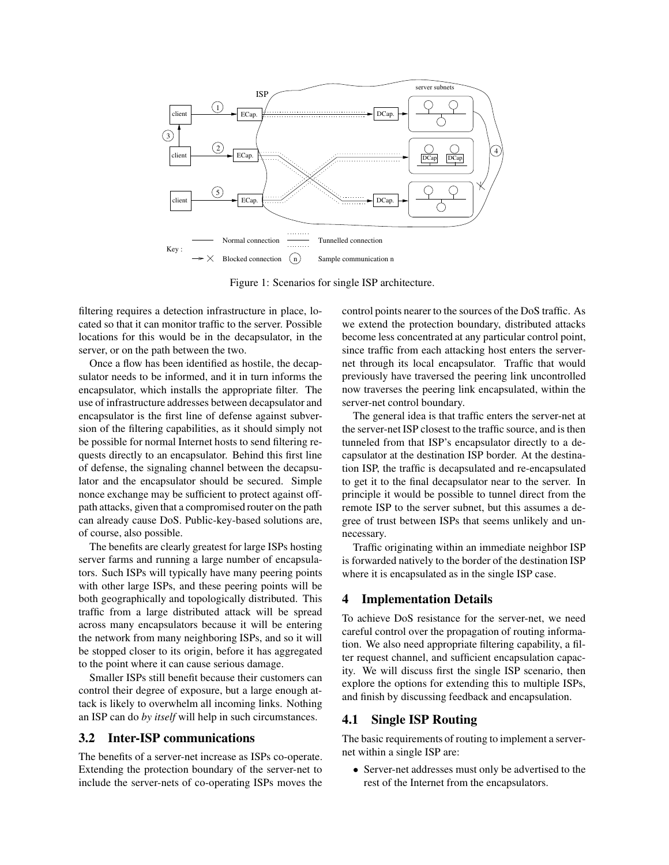

<span id="page-3-0"></span>Figure 1: Scenarios for single ISP architecture.

filtering requires a detection infrastructure in place, located so that it can monitor traffic to the server. Possible locations for this would be in the decapsulator, in the server, or on the path between the two.

Once a flow has been identified as hostile, the decapsulator needs to be informed, and it in turn informs the encapsulator, which installs the appropriate filter. The use of infrastructure addresses between decapsulator and encapsulator is the first line of defense against subversion of the filtering capabilities, as it should simply not be possible for normal Internet hosts to send filtering requests directly to an encapsulator. Behind this first line of defense, the signaling channel between the decapsulator and the encapsulator should be secured. Simple nonce exchange may be sufficient to protect against offpath attacks, given that a compromised router on the path can already cause DoS. Public-key-based solutions are, of course, also possible.

The benefits are clearly greatest for large ISPs hosting server farms and running a large number of encapsulators. Such ISPs will typically have many peering points with other large ISPs, and these peering points will be both geographically and topologically distributed. This traffic from a large distributed attack will be spread across many encapsulators because it will be entering the network from many neighboring ISPs, and so it will be stopped closer to its origin, before it has aggregated to the point where it can cause serious damage.

Smaller ISPs still benefit because their customers can control their degree of exposure, but a large enough attack is likely to overwhelm all incoming links. Nothing an ISP can do *by itself* will help in such circumstances.

## **3.2 Inter-ISP communications**

The benefits of a server-net increase as ISPs co-operate. Extending the protection boundary of the server-net to include the server-nets of co-operating ISPs moves the control points nearer to the sources of the DoS traffic. As we extend the protection boundary, distributed attacks become less concentrated at any particular control point, since traffic from each attacking host enters the servernet through its local encapsulator. Traffic that would previously have traversed the peering link uncontrolled now traverses the peering link encapsulated, within the server-net control boundary.

The general idea is that traffic enters the server-net at the server-net ISP closest to the traffic source, and is then tunneled from that ISP's encapsulator directly to a decapsulator at the destination ISP border. At the destination ISP, the traffic is decapsulated and re-encapsulated to get it to the final decapsulator near to the server. In principle it would be possible to tunnel direct from the remote ISP to the server subnet, but this assumes a degree of trust between ISPs that seems unlikely and unnecessary.

Traffic originating within an immediate neighbor ISP is forwarded natively to the border of the destination ISP where it is encapsulated as in the single ISP case.

## **4 Implementation Details**

To achieve DoS resistance for the server-net, we need careful control over the propagation of routing information. We also need appropriate filtering capability, a filter request channel, and sufficient encapsulation capacity. We will discuss first the single ISP scenario, then explore the options for extending this to multiple ISPs, and finish by discussing feedback and encapsulation.

## **4.1 Single ISP Routing**

The basic requirements of routing to implement a servernet within a single ISP are:

• Server-net addresses must only be advertised to the rest of the Internet from the encapsulators.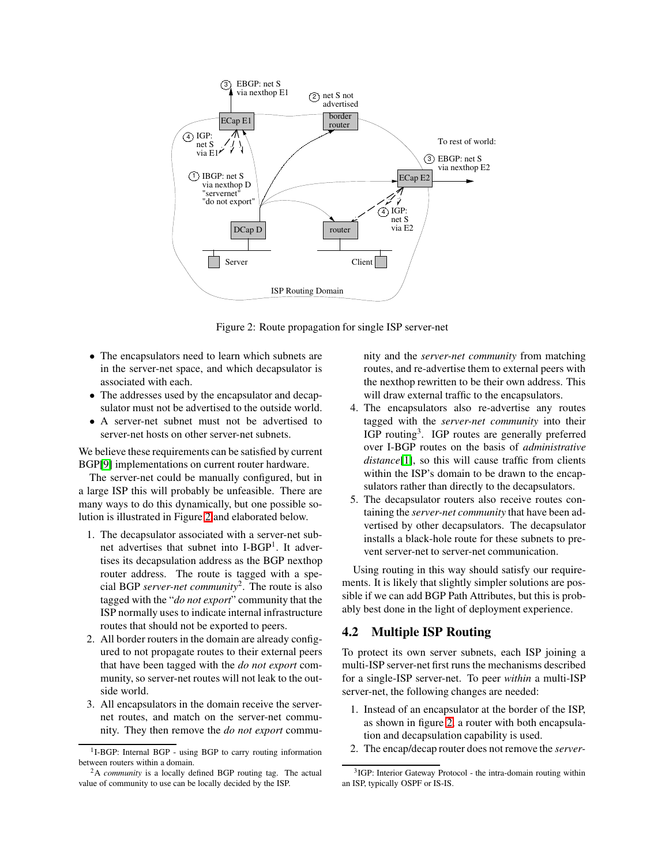

<span id="page-4-0"></span>Figure 2: Route propagation for single ISP server-net

- The encapsulators need to learn which subnets are in the server-net space, and which decapsulator is associated with each.
- The addresses used by the encapsulator and decapsulator must not be advertised to the outside world.
- A server-net subnet must not be advertised to server-net hosts on other server-net subnets.

We believe these requirements can be satisfied by current BGP[\[9\]](#page-6-5) implementations on current router hardware.

The server-net could be manually configured, but in a large ISP this will probably be unfeasible. There are many ways to do this dynamically, but one possible solution is illustrated in Figure [2](#page-4-0) and elaborated below.

- 1. The decapsulator associated with a server-net subnet advertises that subnet into I-BGP<sup>1</sup>. It advertises its decapsulation address as the BGP nexthop router address. The route is tagged with a special BGP *server-net community*<sup>2</sup> . The route is also tagged with the "*do not export*" community that the ISP normally uses to indicate internal infrastructure routes that should not be exported to peers.
- 2. All border routers in the domain are already configured to not propagate routes to their external peers that have been tagged with the *do not export* community, so server-net routes will not leak to the outside world.
- 3. All encapsulators in the domain receive the servernet routes, and match on the server-net community. They then remove the *do not export* commu-

nity and the *server-net community* from matching routes, and re-advertise them to external peers with the nexthop rewritten to be their own address. This will draw external traffic to the encapsulators.

- 4. The encapsulators also re-advertise any routes tagged with the *server-net community* into their IGP routing<sup>3</sup>. IGP routes are generally preferred over I-BGP routes on the basis of *administrative distance*[\[1\]](#page-6-6), so this will cause traffic from clients within the ISP's domain to be drawn to the encapsulators rather than directly to the decapsulators.
- 5. The decapsulator routers also receive routes containing the *server-net community* that have been advertised by other decapsulators. The decapsulator installs a black-hole route for these subnets to prevent server-net to server-net communication.

Using routing in this way should satisfy our requirements. It is likely that slightly simpler solutions are possible if we can add BGP Path Attributes, but this is probably best done in the light of deployment experience.

## **4.2 Multiple ISP Routing**

To protect its own server subnets, each ISP joining a multi-ISP server-net first runs the mechanisms described for a single-ISP server-net. To peer *within* a multi-ISP server-net, the following changes are needed:

- 1. Instead of an encapsulator at the border of the ISP, as shown in figure [2,](#page-4-0) a router with both encapsulation and decapsulation capability is used.
- 2. The encap/decap router does not remove the *server-*

<sup>&</sup>lt;sup>1</sup>I-BGP: Internal BGP - using BGP to carry routing information between routers within a domain.

<sup>2</sup>A *community* is a locally defined BGP routing tag. The actual value of community to use can be locally decided by the ISP.

<sup>&</sup>lt;sup>3</sup>IGP: Interior Gateway Protocol - the intra-domain routing within an ISP, typically OSPF or IS-IS.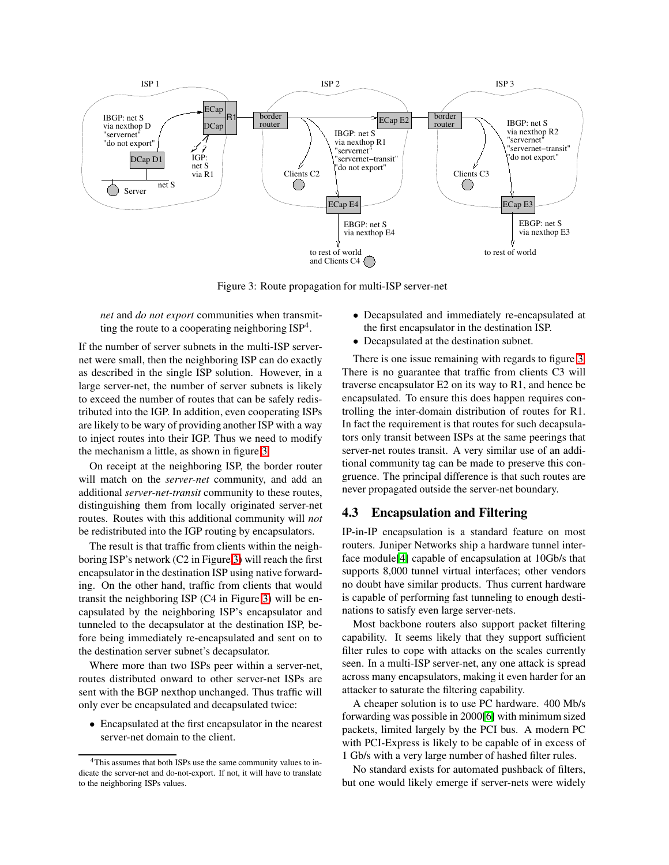

<span id="page-5-0"></span>Figure 3: Route propagation for multi-ISP server-net

*net* and *do not export* communities when transmitting the route to a cooperating neighboring  $ISP^4$ .

If the number of server subnets in the multi-ISP servernet were small, then the neighboring ISP can do exactly as described in the single ISP solution. However, in a large server-net, the number of server subnets is likely to exceed the number of routes that can be safely redistributed into the IGP. In addition, even cooperating ISPs are likely to be wary of providing another ISP with a way to inject routes into their IGP. Thus we need to modify the mechanism a little, as shown in figure [3.](#page-5-0)

On receipt at the neighboring ISP, the border router will match on the *server-net* community, and add an additional *server-net-transit* community to these routes, distinguishing them from locally originated server-net routes. Routes with this additional community will *not* be redistributed into the IGP routing by encapsulators.

The result is that traffic from clients within the neighboring ISP's network (C2 in Figure [3\)](#page-5-0) will reach the first encapsulator in the destination ISP using native forwarding. On the other hand, traffic from clients that would transit the neighboring ISP (C4 in Figure [3\)](#page-5-0) will be encapsulated by the neighboring ISP's encapsulator and tunneled to the decapsulator at the destination ISP, before being immediately re-encapsulated and sent on to the destination server subnet's decapsulator.

Where more than two ISPs peer within a server-net, routes distributed onward to other server-net ISPs are sent with the BGP nexthop unchanged. Thus traffic will only ever be encapsulated and decapsulated twice:

• Encapsulated at the first encapsulator in the nearest server-net domain to the client.

- Decapsulated and immediately re-encapsulated at the first encapsulator in the destination ISP.
- Decapsulated at the destination subnet.

There is one issue remaining with regards to figure [3.](#page-5-0) There is no guarantee that traffic from clients C3 will traverse encapsulator E2 on its way to R1, and hence be encapsulated. To ensure this does happen requires controlling the inter-domain distribution of routes for R1. In fact the requirement is that routes for such decapsulators only transit between ISPs at the same peerings that server-net routes transit. A very similar use of an additional community tag can be made to preserve this congruence. The principal difference is that such routes are never propagated outside the server-net boundary.

## **4.3 Encapsulation and Filtering**

IP-in-IP encapsulation is a standard feature on most routers. Juniper Networks ship a hardware tunnel interface module[\[4\]](#page-6-7) capable of encapsulation at 10Gb/s that supports 8,000 tunnel virtual interfaces; other vendors no doubt have similar products. Thus current hardware is capable of performing fast tunneling to enough destinations to satisfy even large server-nets.

Most backbone routers also support packet filtering capability. It seems likely that they support sufficient filter rules to cope with attacks on the scales currently seen. In a multi-ISP server-net, any one attack is spread across many encapsulators, making it even harder for an attacker to saturate the filtering capability.

A cheaper solution is to use PC hardware. 400 Mb/s forwarding was possible in 2000[\[6\]](#page-6-8) with minimum sized packets, limited largely by the PCI bus. A modern PC with PCI-Express is likely to be capable of in excess of 1 Gb/s with a very large number of hashed filter rules.

No standard exists for automated pushback of filters, but one would likely emerge if server-nets were widely

<sup>4</sup>This assumes that both ISPs use the same community values to indicate the server-net and do-not-export. If not, it will have to translate to the neighboring ISPs values.